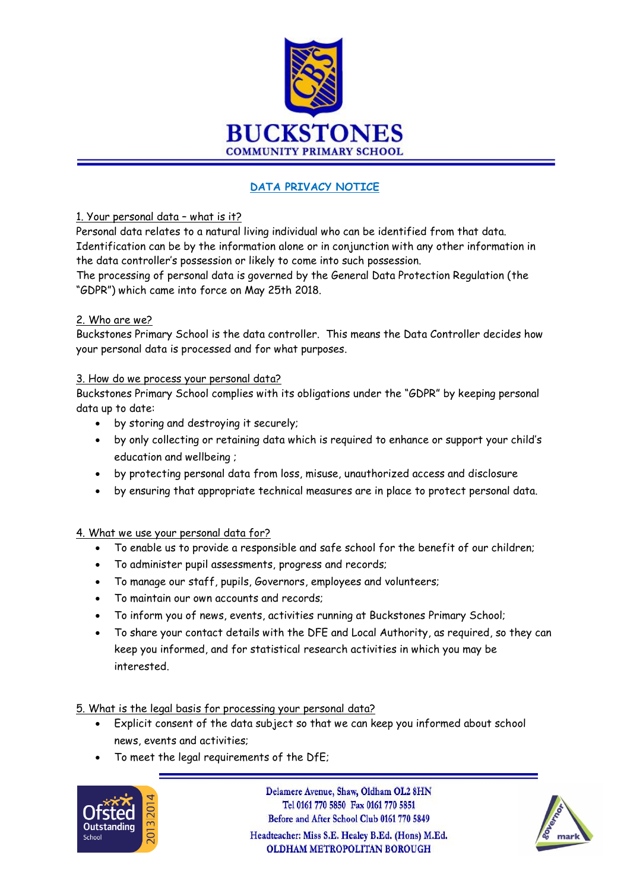

# **DATA PRIVACY NOTICE**

### 1. Your personal data – what is it?

Personal data relates to a natural living individual who can be identified from that data. Identification can be by the information alone or in conjunction with any other information in the data controller's possession or likely to come into such possession.

The processing of personal data is governed by the General Data Protection Regulation (the "GDPR") which came into force on May 25th 2018.

### 2. Who are we?

Buckstones Primary School is the data controller. This means the Data Controller decides how your personal data is processed and for what purposes.

#### 3. How do we process your personal data?

Buckstones Primary School complies with its obligations under the "GDPR" by keeping personal data up to date:

- by storing and destroying it securely;
- by only collecting or retaining data which is required to enhance or support your child's education and wellbeing ;
- by protecting personal data from loss, misuse, unauthorized access and disclosure
- by ensuring that appropriate technical measures are in place to protect personal data.

## 4. What we use your personal data for?

- To enable us to provide a responsible and safe school for the benefit of our children;
- To administer pupil assessments, progress and records;
- To manage our staff, pupils, Governors, employees and volunteers;
- To maintain our own accounts and records;
- To inform you of news, events, activities running at Buckstones Primary School;
- To share your contact details with the DFE and Local Authority, as required, so they can keep you informed, and for statistical research activities in which you may be interested.

#### 5. What is the legal basis for processing your personal data?

- Explicit consent of the data subject so that we can keep you informed about school news, events and activities;
- To meet the legal requirements of the DfE;



Delamere Avenue, Shaw, Oldham OL2 8HN Tel 0161 770 5850 Fax 0161 770 5851 Before and After School Club 0161 770 5849 Headteacher: Miss S.E. Healey B.Ed. (Hons) M.Ed. **OLDHAM METROPOLITAN BOROUGH** 

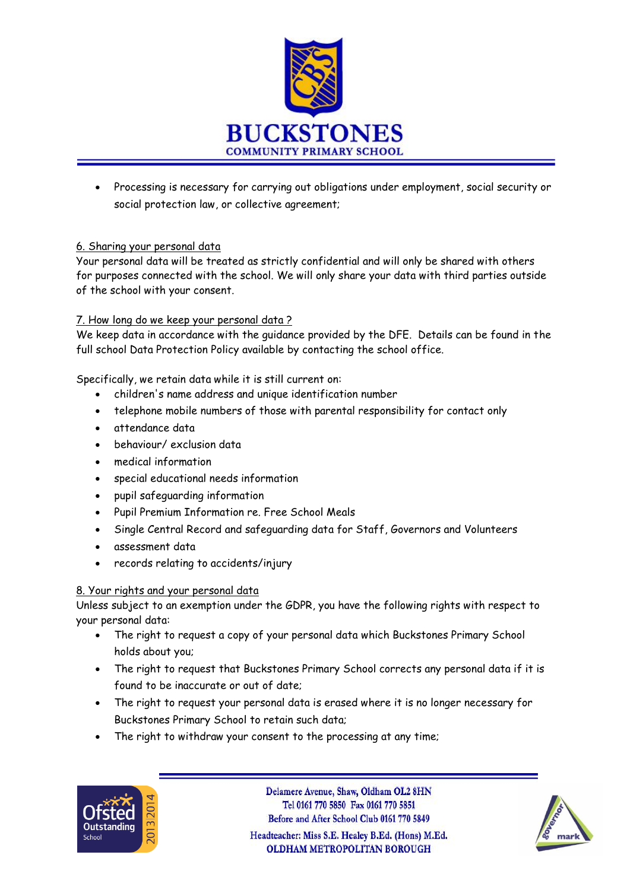

• Processing is necessary for carrying out obligations under employment, social security or social protection law, or collective agreement;

### 6. Sharing your personal data

Your personal data will be treated as strictly confidential and will only be shared with others for purposes connected with the school. We will only share your data with third parties outside of the school with your consent.

### 7. How long do we keep your personal data ?

We keep data in accordance with the guidance provided by the DFE. Details can be found in the full school Data Protection Policy available by contacting the school office.

Specifically, we retain data while it is still current on:

- children's name address and unique identification number
- telephone mobile numbers of those with parental responsibility for contact only
- attendance data
- behaviour/ exclusion data
- medical information
- special educational needs information
- pupil safeguarding information
- Pupil Premium Information re. Free School Meals
- Single Central Record and safeguarding data for Staff, Governors and Volunteers
- assessment data
- records relating to accidents/injury

#### 8. Your rights and your personal data

Unless subject to an exemption under the GDPR, you have the following rights with respect to your personal data:

- The right to request a copy of your personal data which Buckstones Primary School holds about you;
- The right to request that Buckstones Primary School corrects any personal data if it is found to be inaccurate or out of date;
- The right to request your personal data is erased where it is no longer necessary for Buckstones Primary School to retain such data;
- The right to withdraw your consent to the processing at any time;